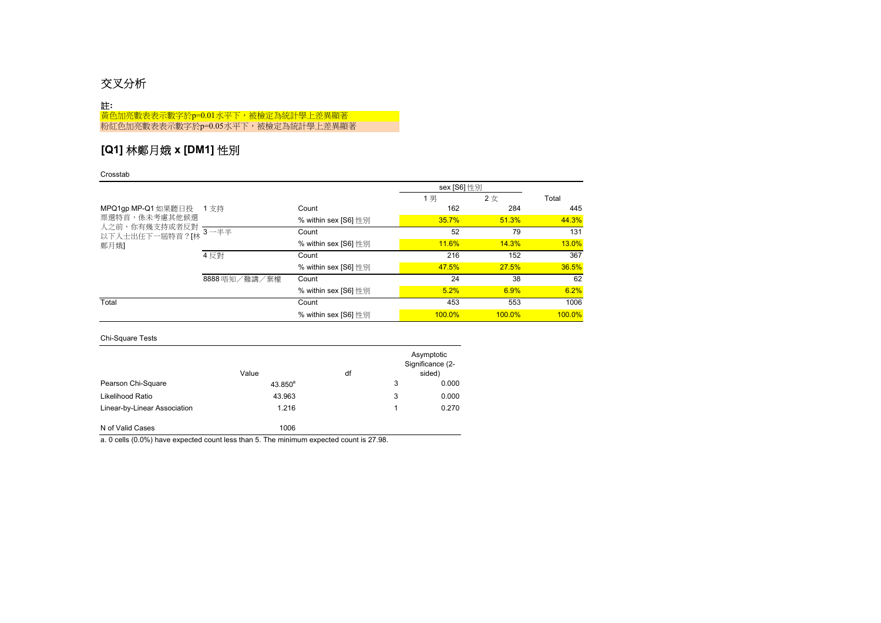# 交叉分析

### 註**:**

黃色加亮數表表示數字於p=0.01水平下,被檢定為統計學上差異顯著 **粉紅色加亮數表表示數字於p=0.05水平下,被檢定為統計學上差異顯著** 

## **[Q1]** 林鄭月娥 **x [DM1]** 性別

### Crosstab

|                                 |               |                      | sex [S6] 性別  |           |              |
|---------------------------------|---------------|----------------------|--------------|-----------|--------------|
|                                 |               |                      | 1男           | 2女        | Total        |
| MPQ1gp MP-Q1 如果聽日投 1 支持         |               | Count                | 162          | 284       | 445          |
| 票選特首,係未考慮其他候選                   |               | % within sex [S6] 性別 | 35.7%        | 51.3%     | 44.3%        |
| 人之前,你有幾支持或者反對<br>以下人士出任下一屆特首?[林 | $3 - ##$      | Count                | 52           | 79        | 131          |
| 鄭月娥]                            |               | % within sex [S6] 性別 | <b>11.6%</b> | 14.3%     | <b>13.0%</b> |
|                                 | 4 反對          | Count                | 216          | 152       | 367          |
|                                 |               | % within sex [S6] 性別 | 47.5%        | 27.5%     | 36.5%        |
|                                 | 8888 唔知/難講/棄權 | Count                | 24           | 38        | 62           |
|                                 |               | % within sex [S6] 性別 | 5.2%         | 6.9%      | 6.2%         |
| Total                           |               | Count                | 453          | 553       | 1006         |
|                                 |               | % within sex [S6] 性別 | $100.0\%$    | $100.0\%$ | 100.0%       |

### Chi-Square Tests

|                              | Value        | df |   | Asymptotic<br>Significance (2-<br>sided) |
|------------------------------|--------------|----|---|------------------------------------------|
| Pearson Chi-Square           | $43.850^{a}$ |    | 3 | 0.000                                    |
| Likelihood Ratio             | 43.963       |    | 3 | 0.000                                    |
| Linear-by-Linear Association | 1.216        |    |   | 0.270                                    |
| N of Valid Cases             | 1006         |    |   |                                          |

a. 0 cells (0.0%) have expected count less than 5. The minimum expected count is 27.98.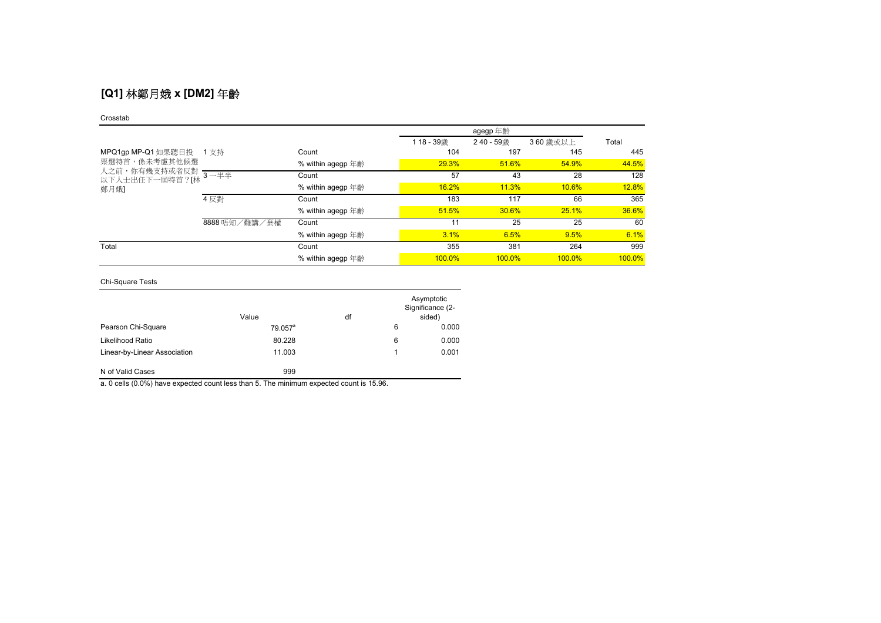# **[Q1]** 林鄭月娥 **x [DM2]** 年齡

#### Crosstab

|                         |                       | agegp 年齡          |               |               |           |        |
|-------------------------|-----------------------|-------------------|---------------|---------------|-----------|--------|
|                         |                       |                   | 118-39歳       | 240 - 59歳     | 360 歳或以上  | Total  |
| MPQ1gp MP-Q1 如果聽日投 1 支持 |                       | Count             | 104           | 197           | 145       | 445    |
| 票選特首,係未考慮其他候選           |                       | % within agegp 年齡 | 29.3%         | 51.6%         | 54.9%     | 44.5%  |
|                         |                       | Count             | 57            | 43            | 28        | 128    |
| 鄭月娥]                    |                       | % within agegp 年齡 | 16.2%         | 11.3%         | 10.6%     | 12.8%  |
|                         | 4 反對<br>8888 唔知/難講/棄權 | Count             | 183           | 117           | 66        | 365    |
|                         |                       | % within agegp 年齡 | 51.5%         | 30.6%         | 25.1%     | 36.6%  |
|                         |                       | Count             | 11            | 25            | 25        | 60     |
|                         |                       | % within agegp 年齡 | 3.1%          | 6.5%          | 9.5%      | 6.1%   |
| Total                   |                       | Count             | 355           | 381           | 264       | 999    |
|                         |                       | % within agegp 年齡 | <b>100.0%</b> | <b>100.0%</b> | $100.0\%$ | 100.0% |

### Chi-Square Tests

|                              | Value      | df |   | Asymptotic<br>Significance (2-<br>sided) |
|------------------------------|------------|----|---|------------------------------------------|
| Pearson Chi-Square           | $79.057^a$ |    | 6 | 0.000                                    |
| Likelihood Ratio             | 80.228     |    | 6 | 0.000                                    |
| Linear-by-Linear Association | 11.003     |    |   | 0.001                                    |
| N of Valid Cases             | 999        |    |   |                                          |

a. 0 cells (0.0%) have expected count less than 5. The minimum expected count is 15.96.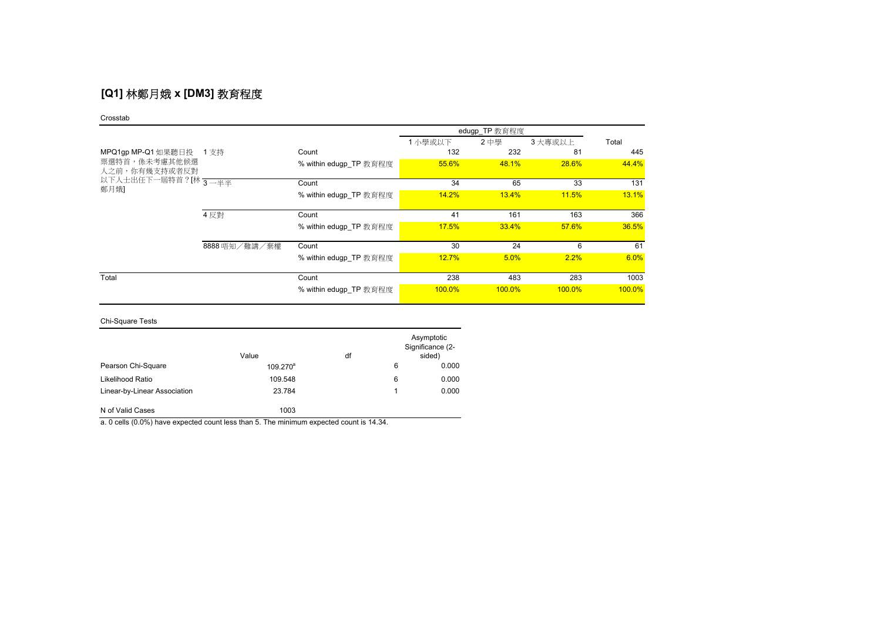# **[Q1]** 林鄭月娥 **x [DM3]** 教育程度

#### Crosstab

|                                | edugp_TP 教育程度 |                        |           |        |           |        |
|--------------------------------|---------------|------------------------|-----------|--------|-----------|--------|
|                                |               |                        | 1 小學或以下   | 2中學    | 3 大專或以上   | Total  |
| MPQ1gp MP-Q1 如果聽日投 1 支持        |               | Count                  | 132       | 232    | 81        | 445    |
| 票選特首,係未考慮其他候選<br>人之前,你有幾支持或者反對 |               | % within edugp TP 教育程度 | 55.6%     | 48.1%  | 28.6%     | 44.4%  |
| 以下人士出任下一屆特首?[林 3—半半            |               | Count                  | 34        | 65     | 33        | 131    |
| 鄭月娥]                           |               | % within edugp TP 教育程度 | 14.2%     | 13.4%  | 11.5%     | 13.1%  |
|                                | 4 反對          | Count                  | 41        | 161    | 163       | 366    |
|                                |               | % within edugp TP 教育程度 | 17.5%     | 33.4%  | 57.6%     | 36.5%  |
|                                | 8888 唔知/難講/棄權 | Count                  | 30        | 24     | 6         | 61     |
|                                |               | % within edugp TP 教育程度 | 12.7%     | 5.0%   | 2.2%      | 6.0%   |
| Total                          |               | Count                  | 238       | 483    | 283       | 1003   |
|                                |               | % within edugp TP 教育程度 | $100.0\%$ | 100.0% | $100.0\%$ | 100.0% |

### Chi-Square Tests

|                              | Value       | df |   | Asymptotic<br>Significance (2-<br>sided) |
|------------------------------|-------------|----|---|------------------------------------------|
| Pearson Chi-Square           | $109.270^a$ |    | 6 | 0.000                                    |
| Likelihood Ratio             | 109.548     |    | 6 | 0.000                                    |
| Linear-by-Linear Association | 23.784      |    | 1 | 0.000                                    |
| N of Valid Cases             | 1003        |    |   |                                          |

a. 0 cells (0.0%) have expected count less than 5. The minimum expected count is 14.34.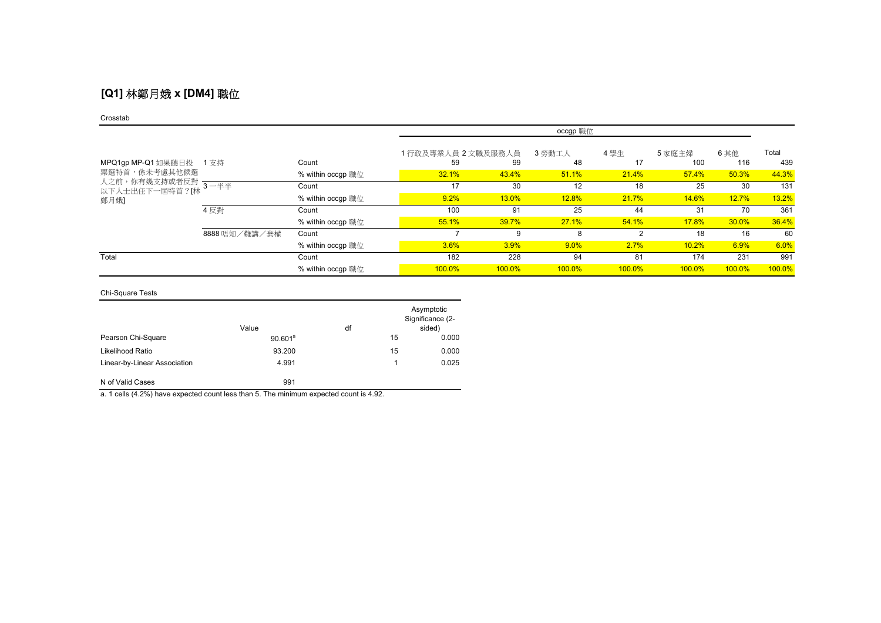# **[Q1]** 林鄭月娥 **x [DM4]** 職位

#### Crosstab

|                                                     |               | occgp 職位          |                    |        |              |        |        |        |        |
|-----------------------------------------------------|---------------|-------------------|--------------------|--------|--------------|--------|--------|--------|--------|
|                                                     |               |                   | 1行政及專業人員 2 文職及服務人員 |        | 3 勞動工人       | 4學生    | 5 家庭主婦 | 6 其他   | Total  |
| MPQ1gp MP-Q1 如果聽日投                                  | 1支持           | Count             | 59                 | 99     | 48           | 17     | 100    | 116    | 439    |
| 票選特首,係未考慮其他候選<br>人之前,你有幾支持或者反對 ———————————————————— |               | % within occgp 職位 | 32.1%              | 43.4%  | 51.1%        | 21.4%  | 57.4%  | 50.3%  | 44.3%  |
| 以下人士出任下一屆特首?[林                                      |               | Count             | 17                 | 30     | 12           | 18     | 25     | 30     | 131    |
| 鄭月娥]                                                |               | % within occgp 職位 | 9.2%               | 13.0%  | <b>12.8%</b> | 21.7%  | 14.6%  | 12.7%  | 13.2%  |
|                                                     | 4 反對          | Count             | 100                | 91     | 25           | 44     | 31     | 70     | 361    |
|                                                     |               | % within occgp 職位 | 55.1%              | 39.7%  | 27.1%        | 54.1%  | 17.8%  | 30.0%  | 36.4%  |
|                                                     | 8888 唔知/難講/棄權 | Count             |                    | 9      | 8            | 2      | 18     | 16     | 60     |
|                                                     |               | % within occgp 職位 | $3.6\%$            | 3.9%   | 9.0%         | 2.7%   | 10.2%  | 6.9%   | 6.0%   |
| Total                                               |               | Count             | 182                | 228    | 94           | 81     | 174    | 231    | 991    |
|                                                     |               | % within occgp 職位 | 100.0%             | 100.0% | 100.0%       | 100.0% | 100.0% | 100.0% | 100.0% |

### Chi-Square Tests

|                              | Value      | df |    | Asymptotic<br>Significance (2-<br>sided) |
|------------------------------|------------|----|----|------------------------------------------|
| Pearson Chi-Square           | $90.601^a$ |    | 15 | 0.000                                    |
| Likelihood Ratio             | 93.200     |    | 15 | 0.000                                    |
| Linear-by-Linear Association | 4.991      |    |    | 0.025                                    |
| N of Valid Cases             | 991        |    |    |                                          |

a. 1 cells (4.2%) have expected count less than 5. The minimum expected count is 4.92.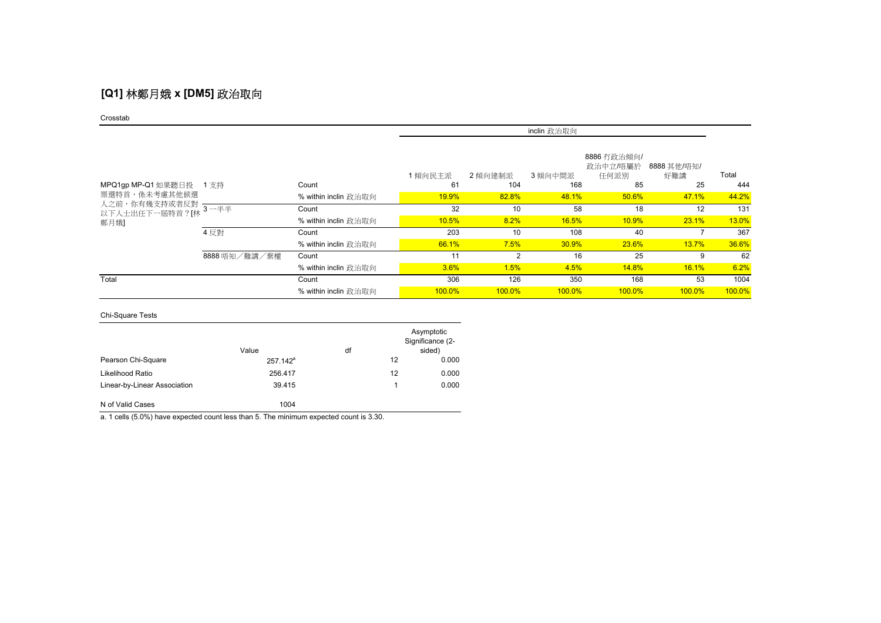# **[Q1]** 林鄭月娥 **x [DM5]** 政治取向

#### Crosstab

|                                                      |               |                      | inclin 政治取向 |           |               |                                 |                    |        |
|------------------------------------------------------|---------------|----------------------|-------------|-----------|---------------|---------------------------------|--------------------|--------|
|                                                      |               |                      | 1傾向民主派      | 2 傾向建制派   | 3 傾向中間派       | 8886 冇政治傾向/<br>政治中立/唔屬於<br>任何派別 | 8888 其他/唔知/<br>好難講 | Total  |
| MPQ1gp MP-Q1 如果聽日投 1 支持                              |               | Count                | 61          | 104       | 168           | 85                              | 25                 | 444    |
| 票選特首,係未考慮其他候選                                        |               | % within inclin 政治取向 | 19.9%       | 82.8%     | 48.1%         | 50.6%                           | 47.1%              | 44.2%  |
| 人之前,你有幾支持或者反對 ————————————————————<br>以下人士出任下一屆特首?[林 |               | Count                | 32          | 10        | 58            | 18                              | 12                 | 131    |
| 鄭月娥]                                                 |               | % within inclin 政治取向 | 10.5%       | 8.2%      | 16.5%         | 10.9%                           | 23.1%              | 13.0%  |
|                                                      | 4 反對          | Count                | 203         | 10        | 108           | 40                              |                    | 367    |
|                                                      |               | % within inclin 政治取向 | 66.1%       | 7.5%      | 30.9%         | 23.6%                           | 13.7%              | 36.6%  |
|                                                      | 8888 唔知/難講/棄權 | Count                | 11          | 2         | 16            | 25                              | 9                  | 62     |
|                                                      |               | % within inclin 政治取向 | 3.6%        | 1.5%      | 4.5%          | <b>14.8%</b>                    | 16.1%              | 6.2%   |
| Total                                                |               | Count                | 306         | 126       | 350           | 168                             | 53                 | 1004   |
|                                                      |               | % within inclin 政治取向 | 100.0%      | $100.0\%$ | <b>100.0%</b> | $100.0\%$                       | $100.0\%$          | 100.0% |

### Chi-Square Tests

|                              | Value       | df |    | Asymptotic<br>Significance (2-<br>sided) |
|------------------------------|-------------|----|----|------------------------------------------|
| Pearson Chi-Square           | $257.142^a$ |    | 12 | 0.000                                    |
| Likelihood Ratio             | 256,417     |    | 12 | 0.000                                    |
| Linear-by-Linear Association | 39.415      |    | 1  | 0.000                                    |
| N of Valid Cases             | 1004        |    |    |                                          |

a. 1 cells (5.0%) have expected count less than 5. The minimum expected count is 3.30.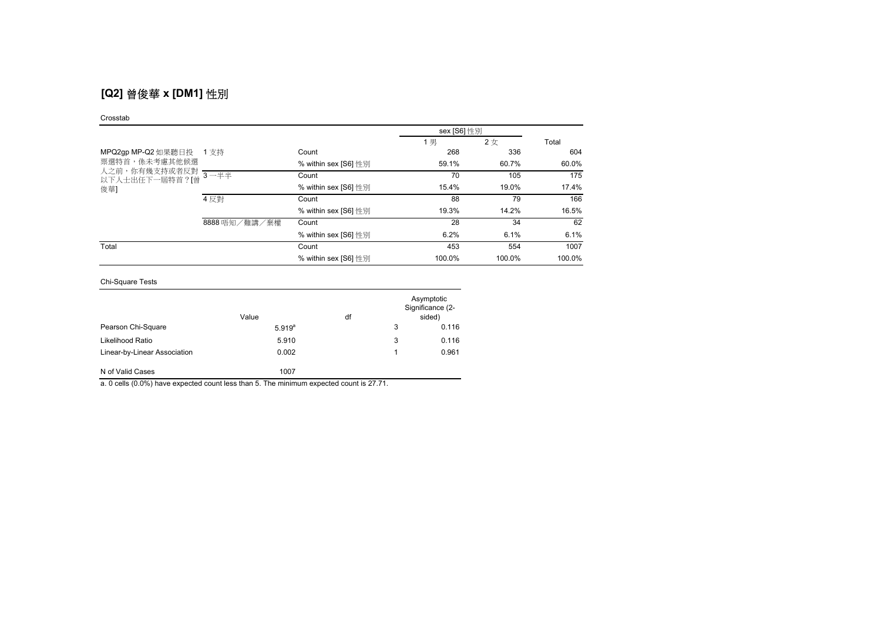# **[Q2]** 曾俊華 **x [DM1]** 性別

#### Crosstab

|                                                    |               |                      | sex [S6] 性別 |        |        |
|----------------------------------------------------|---------------|----------------------|-------------|--------|--------|
|                                                    |               |                      | 1 男         | 2女     | Total  |
| MPQ2gp MP-Q2 如果聽日投                                 | 1 支持          | Count                | 268         | 336    | 604    |
| 票選特首,係未考慮其他候選                                      |               | % within sex [S6] 性別 | 59.1%       | 60.7%  | 60.0%  |
| 人之前,你有幾支持或者反對 <mark>3 一半半</mark><br>以下人士出任下一屆特首?[曾 |               | Count                | 70          | 105    | 175    |
| 俊華]                                                |               | % within sex [S6] 性別 | 15.4%       | 19.0%  | 17.4%  |
|                                                    | 4 反對          | Count                | 88          | 79     | 166    |
|                                                    |               | % within sex [S6] 性別 | 19.3%       | 14.2%  | 16.5%  |
|                                                    | 8888 唔知/難講/棄權 | Count                | 28          | 34     | 62     |
|                                                    |               | % within sex [S6] 性別 | 6.2%        | 6.1%   | 6.1%   |
| Total                                              |               | Count                | 453         | 554    | 1007   |
|                                                    |               | % within sex [S6] 性別 | 100.0%      | 100.0% | 100.0% |

Chi-Square Tests

|                              | Value       | df |   | Asymptotic<br>Significance (2-<br>sided) |
|------------------------------|-------------|----|---|------------------------------------------|
| Pearson Chi-Square           | $5.919^{a}$ |    | 3 | 0.116                                    |
| Likelihood Ratio             | 5.910       |    | 3 | 0.116                                    |
| Linear-by-Linear Association | 0.002       |    |   | 0.961                                    |
| N of Valid Cases             | 1007        |    |   |                                          |

a. 0 cells (0.0%) have expected count less than 5. The minimum expected count is 27.71.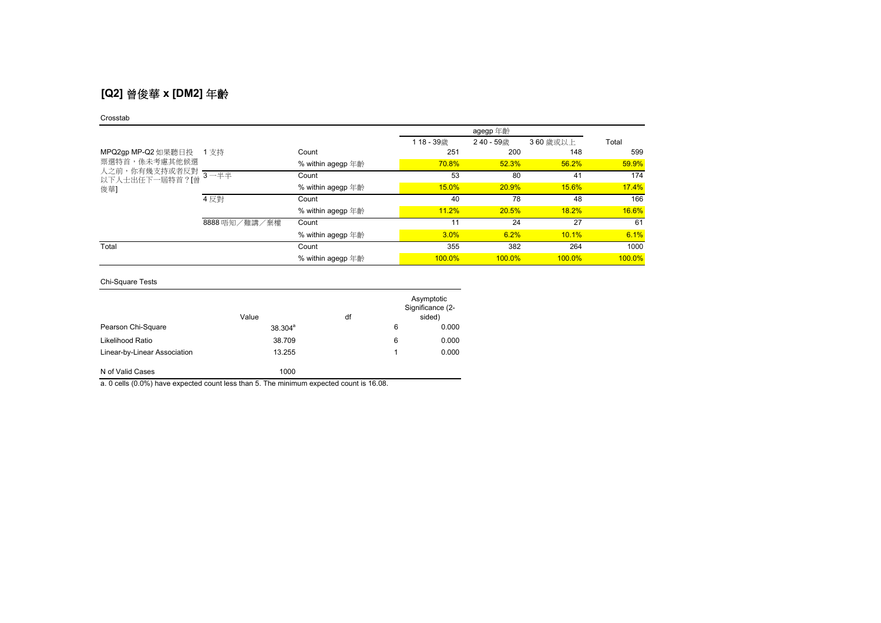# **[Q2]** 曾俊華 **x [DM2]** 年齡

#### Crosstab

|                                                         |               |                   | 118-39歳 | 240 - 59歳 | 360 歳或以上 | Total  |
|---------------------------------------------------------|---------------|-------------------|---------|-----------|----------|--------|
| MPQ2gp MP-Q2 如果聽日投 1 支持                                 |               | Count             | 251     | 200       | 148      | 599    |
| 票選特首,係未考慮其他候選<br>人之前,你有幾支持或者反對<br>以下人士出任下一屆特首?[曾<br>俊華] |               | % within agegp 年齡 | 70.8%   | 52.3%     | 56.2%    | 59.9%  |
|                                                         | $3 - ##$      | Count             | 53      | 80        | 41       | 174    |
|                                                         |               | % within agegp 年齡 | 15.0%   | 20.9%     | 15.6%    | 17.4%  |
|                                                         | 4 反對          | Count             | 40      | 78        | 48       | 166    |
|                                                         |               | % within agegp 年齡 | 11.2%   | 20.5%     | 18.2%    | 16.6%  |
|                                                         | 8888 唔知/難講/棄權 | Count             | 11      | 24        | 27       | 61     |
|                                                         |               | % within agegp 年齡 | 3.0%    | 6.2%      | 10.1%    | 6.1%   |
| Total                                                   |               | Count             | 355     | 382       | 264      | 1000   |
|                                                         |               | % within agegp 年齡 | 100.0%  | $100.0\%$ | 100.0%   | 100.0% |

### Chi-Square Tests

|                              | Value      | df |   | Asymptotic<br>Significance (2-<br>sided) |
|------------------------------|------------|----|---|------------------------------------------|
| Pearson Chi-Square           | $38.304^a$ |    | 6 | 0.000                                    |
| Likelihood Ratio             | 38.709     |    | 6 | 0.000                                    |
| Linear-by-Linear Association | 13.255     |    |   | 0.000                                    |
| N of Valid Cases             | 1000       |    |   |                                          |

a. 0 cells (0.0%) have expected count less than 5. The minimum expected count is 16.08.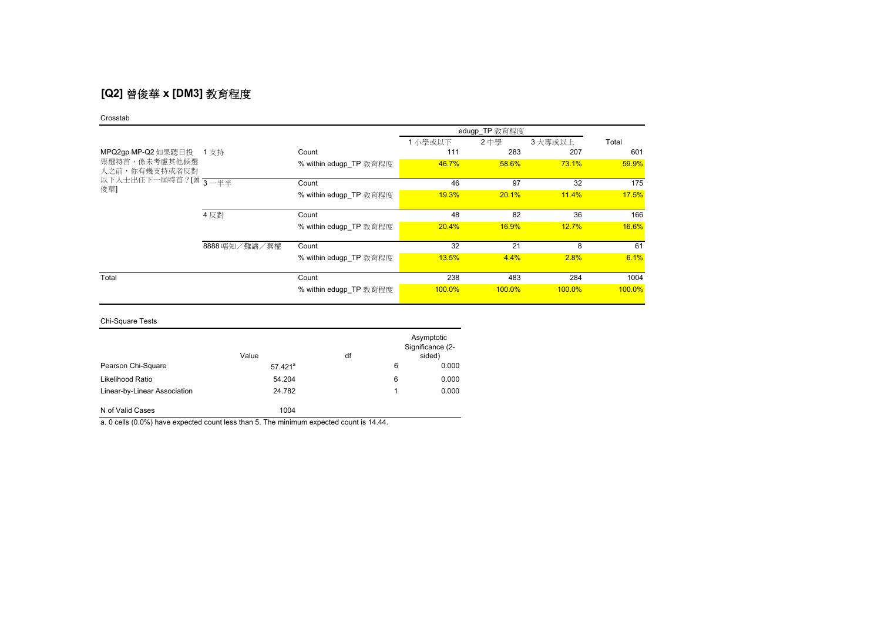## **[Q2]** 曾俊華 **x [DM3]** 教育程度

#### Crosstab

|                                                                                    |               |                        | edugp_TP 教育程度 |              |         |        |
|------------------------------------------------------------------------------------|---------------|------------------------|---------------|--------------|---------|--------|
|                                                                                    |               |                        | 1 小學或以下       | 2中學          | 3 大專或以上 | Total  |
| MPQ2gp MP-Q2 如果聽日投<br>票選特首,係未考慮其他候選<br>人之前,你有幾支持或者反對<br>以下人士出任下一屆特首?[曾 3—半半<br>俊華] | 1 支持          | Count                  | 111           | 283          | 207     | 601    |
|                                                                                    |               | % within edugp TP 教育程度 | 46.7%         | 58.6%        | 73.1%   | 59.9%  |
|                                                                                    |               | Count                  | 46            | 97           | 32      | 175    |
|                                                                                    |               | % within edugp TP 教育程度 | <b>19.3%</b>  | 20.1%        | 11.4%   | 17.5%  |
|                                                                                    | 4 反對          | Count                  | 48            | 82           | 36      | 166    |
|                                                                                    |               | % within edugp TP 教育程度 | 20.4%         | <b>16.9%</b> | 12.7%   | 16.6%  |
|                                                                                    | 8888 唔知/難講/棄權 | Count                  | 32            | 21           | 8       | 61     |
|                                                                                    |               | % within edugp TP 教育程度 | <b>13.5%</b>  | 4.4%         | 2.8%    | 6.1%   |
| Total                                                                              |               | Count                  | 238           | 483          | 284     | 1004   |
|                                                                                    |               | % within edugp_TP 教育程度 | 100.0%        | 100.0%       | 100.0%  | 100.0% |

### Chi-Square Tests

|                              | Value      | df |   | Asymptotic<br>Significance (2-<br>sided) |
|------------------------------|------------|----|---|------------------------------------------|
| Pearson Chi-Square           | $57.421^a$ |    | 6 | 0.000                                    |
| Likelihood Ratio             | 54.204     |    | 6 | 0.000                                    |
| Linear-by-Linear Association | 24.782     |    |   | 0.000                                    |
| N of Valid Cases             | 1004       |    |   |                                          |

a. 0 cells (0.0%) have expected count less than 5. The minimum expected count is 14.44.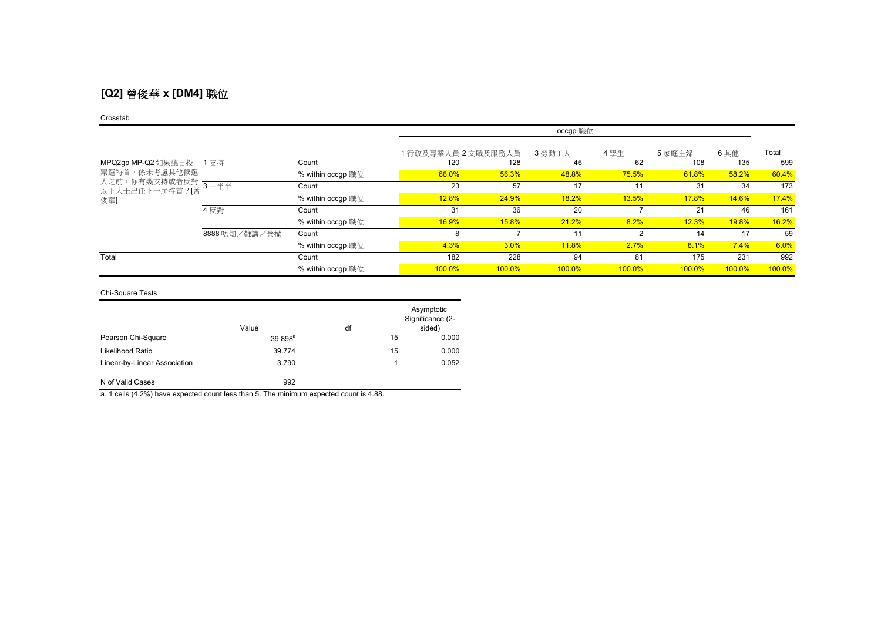## **[Q2]** 曾俊華 **x [DM4]** 職位

#### Crosstab

|                                                      |               |                   | occgp 職位           |        |              |        |        |        |        |
|------------------------------------------------------|---------------|-------------------|--------------------|--------|--------------|--------|--------|--------|--------|
|                                                      |               |                   | 1行政及專業人員 2 文職及服務人員 |        | 3 勞動工人       | 4學生    | 5 家庭主婦 | 6 其他   | Total  |
| MPQ2gp MP-Q2 如果聽日投 1 支持                              |               | Count             | 120                | 128    | 46           | 62     | 108    | 135    | 599    |
| 票選特首,係未考慮其他候選                                        |               | % within occgp 職位 | 66.0%              | 56.3%  | 48.8%        | 75.5%  | 61.8%  | 58.2%  | 60.4%  |
| 人之前,你有幾支持或者反對 ————————————————————<br>以下人士出任下一屆特首?[曾 |               | Count             | 23                 | 57     | 17           | 11     | 31     | 34     | 173    |
| 俊華]                                                  |               | % within occgp 職位 | 12.8%              | 24.9%  | 18.2%        | 13.5%  | 17.8%  | 14.6%  | 17.4%  |
|                                                      | 4 反對          | Count             | 31                 | 36     | 20           |        | 21     | 46     | 161    |
|                                                      |               | % within occgp 職位 | 16.9%              | 15.8%  | 21.2%        | 8.2%   | 12.3%  | 19.8%  | 16.2%  |
|                                                      | 8888 唔知/難講/棄權 | Count             | 8                  |        | 11           | 2      | 14     | 17     | 59     |
|                                                      |               | % within occgp 職位 | 4.3%               | 3.0%   | <b>11.8%</b> | 2.7%   | 8.1%   | 7.4%   | 6.0%   |
| Total                                                |               | Count             | 182                | 228    | 94           | 81     | 175    | 231    | 992    |
|                                                      |               | % within occgp 職位 | 100.0%             | 100.0% | 100.0%       | 100.0% | 100.0% | 100.0% | 100.0% |

### Chi-Square Tests

|                              | Value      | df |    | Asymptotic<br>Significance (2-<br>sided) |
|------------------------------|------------|----|----|------------------------------------------|
| Pearson Chi-Square           | $39.898^a$ |    | 15 | 0.000                                    |
| Likelihood Ratio             | 39.774     |    | 15 | 0.000                                    |
| Linear-by-Linear Association | 3.790      |    |    | 0.052                                    |
| N of Valid Cases             | 992        |    |    |                                          |

a. 1 cells (4.2%) have expected count less than 5. The minimum expected count is 4.88.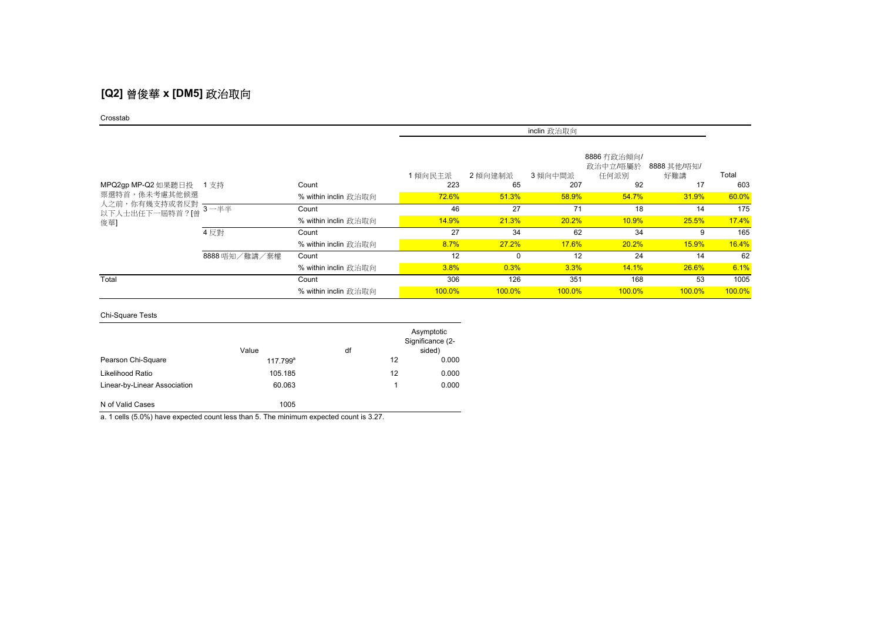# **[Q2]** 曾俊華 **x [DM5]** 政治取向

#### Crosstab

|                                                       |               |                      | inclin 政治取向 |          |         |                                 |                    |        |  |
|-------------------------------------------------------|---------------|----------------------|-------------|----------|---------|---------------------------------|--------------------|--------|--|
|                                                       |               |                      | 1傾向民主派      | 2 傾向建制派  | 3 傾向中間派 | 8886 冇政治傾向/<br>政治中立/唔屬於<br>任何派別 | 8888 其他/唔知/<br>好難講 | Total  |  |
| MPQ2gp MP-Q2 如果聽日投 1 支持                               |               | Count                | 223         | 65       | 207     | 92                              | 17                 | 603    |  |
| 票選特首,係未考慮其他候選                                         |               | % within inclin 政治取向 | 72.6%       | 51.3%    | 58.9%   | 54.7%                           | 31.9%              | 60.0%  |  |
| 人之前,你有幾支持或者反對 <mark>--------</mark><br>以下人士出任下一屆特首?[曾 |               | Count                | 46          | 27       | 71      | 18                              | 14                 | 175    |  |
| 俊華]                                                   |               | % within inclin 政治取向 | 14.9%       | 21.3%    | 20.2%   | 10.9%                           | 25.5%              | 17.4%  |  |
|                                                       | 4 反對          | Count                | 27          | 34       | 62      | 34                              | 9                  | 165    |  |
|                                                       |               | % within inclin 政治取向 | 8.7%        | 27.2%    | 17.6%   | 20.2%                           | 15.9%              | 16.4%  |  |
|                                                       | 8888 唔知/難講/棄權 | Count                | 12          | $\Omega$ | 12      | 24                              | 14                 | 62     |  |
|                                                       |               | % within inclin 政治取向 | 3.8%        | 0.3%     | 3.3%    | 14.1%                           | 26.6%              | 6.1%   |  |
| Total                                                 |               | Count                | 306         | 126      | 351     | 168                             | 53                 | 1005   |  |
|                                                       |               | % within inclin 政治取向 | 100.0%      | 100.0%   | 100.0%  | 100.0%                          | $100.0\%$          | 100.0% |  |

### Chi-Square Tests

|                              | Value       | df |    | Asymptotic<br>Significance (2-<br>sided) |
|------------------------------|-------------|----|----|------------------------------------------|
| Pearson Chi-Square           | $117.799^a$ |    | 12 | 0.000                                    |
| Likelihood Ratio             | 105.185     |    | 12 | 0.000                                    |
| Linear-by-Linear Association | 60.063      |    |    | 0.000                                    |
| N of Valid Cases             | 1005        |    |    |                                          |

a. 1 cells (5.0%) have expected count less than 5. The minimum expected count is 3.27.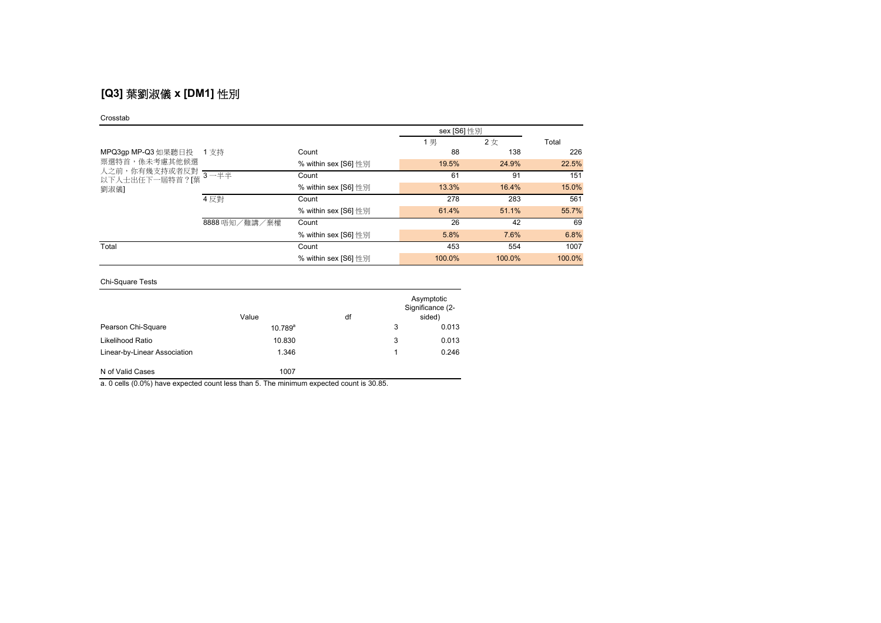# **[Q3]** 葉劉淑儀 **x [DM1]** 性別

#### Crosstab

|                                                                                     |                            |                      | sex [S6] 性別 |        |        |
|-------------------------------------------------------------------------------------|----------------------------|----------------------|-------------|--------|--------|
|                                                                                     |                            |                      | 1男          | 2女     | Total  |
| MPQ3gp MP-Q3 如果聽日投 1 支持<br>票選特首,係未考慮其他候選<br>人之前,你有幾支持或者反對<br>以下人士出任下一屆特首?[葉<br>劉淑儀] |                            | Count                | 88          | 138    | 226    |
|                                                                                     |                            | % within sex [S6] 性別 | 19.5%       | 24.9%  | 22.5%  |
|                                                                                     | $-3$ $ \overline{+}$ $\pm$ | Count                | 61          | 91     | 151    |
|                                                                                     |                            | % within sex [S6] 性別 | 13.3%       | 16.4%  | 15.0%  |
|                                                                                     | 4 反對                       | Count                | 278         | 283    | 561    |
|                                                                                     |                            | % within sex [S6] 性別 | 61.4%       | 51.1%  | 55.7%  |
|                                                                                     | 8888 唔知/難講/棄權              | Count                | 26          | 42     | 69     |
|                                                                                     |                            | % within sex [S6] 性別 | 5.8%        | 7.6%   | 6.8%   |
| Total                                                                               |                            | Count                | 453         | 554    | 1007   |
|                                                                                     |                            | % within sex [S6] 性別 | 100.0%      | 100.0% | 100.0% |

Chi-Square Tests

|                              | Value        | df |   | Asymptotic<br>Significance (2-<br>sided) |
|------------------------------|--------------|----|---|------------------------------------------|
| Pearson Chi-Square           | $10.789^{a}$ |    | 3 | 0.013                                    |
| Likelihood Ratio             | 10.830       |    | 3 | 0.013                                    |
| Linear-by-Linear Association | 1.346        |    |   | 0.246                                    |
| N of Valid Cases             | 1007         |    |   |                                          |

a. 0 cells (0.0%) have expected count less than 5. The minimum expected count is 30.85.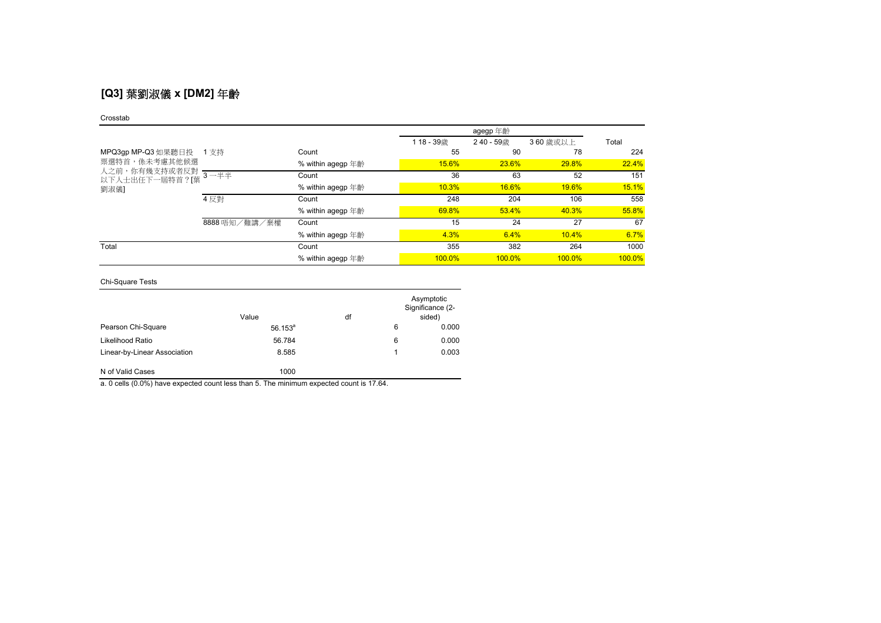# **[Q3]** 葉劉淑儀 **x [DM2]** 年齡

#### Crosstab

|                                                                                |               |                   | 118-39歳 | 240 - 59歳 | 360 歳或以上  | Total  |
|--------------------------------------------------------------------------------|---------------|-------------------|---------|-----------|-----------|--------|
| MPQ3gp MP-Q3 如果聽日投<br>票選特首,係未考慮其他候選<br>人之前,你有幾支持或者反對<br>以下人士出任下一屆特首?[葉<br>劉淑儀] | 1 支持          | Count             | 55      | 90        | 78        | 224    |
|                                                                                |               | % within agegp 年齡 | 15.6%   | 23.6%     | 29.8%     | 22.4%  |
|                                                                                | $3 - ##$      | Count             | 36      | 63        | 52        | 151    |
|                                                                                |               | % within agegp 年齡 | 10.3%   | 16.6%     | 19.6%     | 15.1%  |
|                                                                                | 4 反對          | Count             | 248     | 204       | 106       | 558    |
|                                                                                |               | % within agegp 年齡 | 69.8%   | 53.4%     | 40.3%     | 55.8%  |
|                                                                                | 8888 唔知/難講/棄權 | Count             | 15      | 24        | 27        | 67     |
|                                                                                |               | % within agegp 年齡 | 4.3%    | 6.4%      | 10.4%     | 6.7%   |
| Total                                                                          |               | Count             | 355     | 382       | 264       | 1000   |
|                                                                                |               | % within agegp 年齡 | 100.0%  | $100.0\%$ | $100.0\%$ | 100.0% |

### Chi-Square Tests

|                              | Value      | df |   | Asymptotic<br>Significance (2-<br>sided) |
|------------------------------|------------|----|---|------------------------------------------|
| Pearson Chi-Square           | $56.153^a$ |    | 6 | 0.000                                    |
| Likelihood Ratio             | 56.784     |    | 6 | 0.000                                    |
| Linear-by-Linear Association | 8.585      |    |   | 0.003                                    |
| N of Valid Cases             | 1000       |    |   |                                          |

a. 0 cells (0.0%) have expected count less than 5. The minimum expected count is 17.64.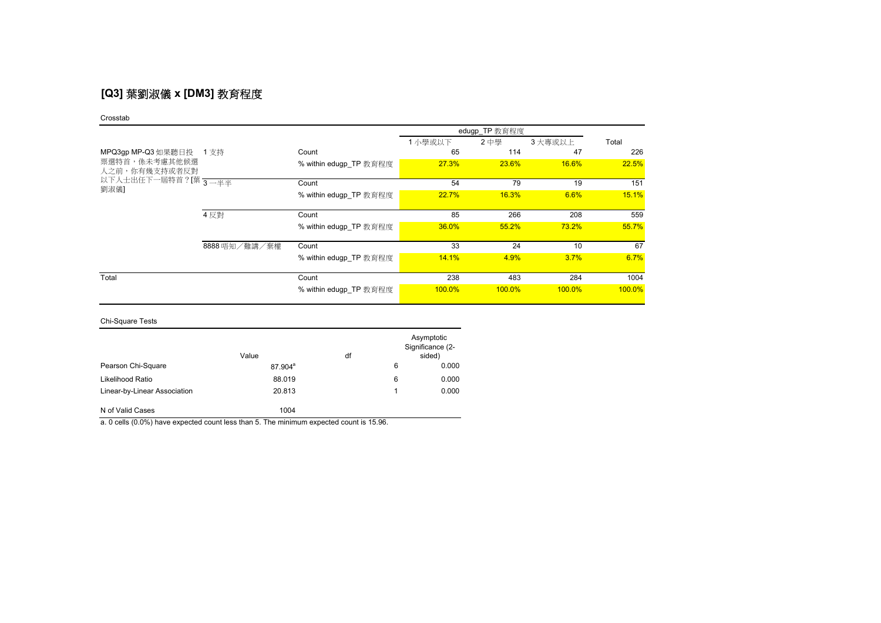# **[Q3]** 葉劉淑儀 **x [DM3]** 教育程度

#### Crosstab

|                                |               |                        |           | edugp_TP 教育程度 |           |        |
|--------------------------------|---------------|------------------------|-----------|---------------|-----------|--------|
|                                |               |                        | 1 小學或以下   | 2中學           | 3 大專或以上   | Total  |
| MPQ3gp MP-Q3 如果聽日投 1 支持        |               | Count                  | 65        | 114           | 47        | 226    |
| 票選特首,係未考慮其他候選<br>人之前,你有幾支持或者反對 |               | % within edugp TP 教育程度 | 27.3%     | 23.6%         | 16.6%     | 22.5%  |
| 以下人士出任下一屆特首?[葉 3—半半            |               | Count                  | 54        | 79            | 19        | 151    |
| 劉淑儀]                           |               | % within edugp TP 教育程度 | 22.7%     | 16.3%         | 6.6%      | 15.1%  |
|                                | 4 反對          | Count                  | 85        | 266           | 208       | 559    |
|                                |               | % within edugp TP 教育程度 | 36.0%     | 55.2%         | 73.2%     | 55.7%  |
|                                | 8888 唔知/難講/棄權 | Count                  | 33        | 24            | 10        | 67     |
|                                |               | % within edugp TP 教育程度 | 14.1%     | 4.9%          | 3.7%      | 6.7%   |
| Total                          |               | Count                  | 238       | 483           | 284       | 1004   |
|                                |               | % within edugp TP 教育程度 | $100.0\%$ | 100.0%        | $100.0\%$ | 100.0% |

### Chi-Square Tests

|                              | Value               | df |   | Asymptotic<br>Significance (2-<br>sided) |
|------------------------------|---------------------|----|---|------------------------------------------|
| Pearson Chi-Square           | 87.904 <sup>a</sup> |    | 6 | 0.000                                    |
| Likelihood Ratio             | 88.019              |    | 6 | 0.000                                    |
| Linear-by-Linear Association | 20.813              |    |   | 0.000                                    |
| N of Valid Cases             | 1004                |    |   |                                          |

a. 0 cells (0.0%) have expected count less than 5. The minimum expected count is 15.96.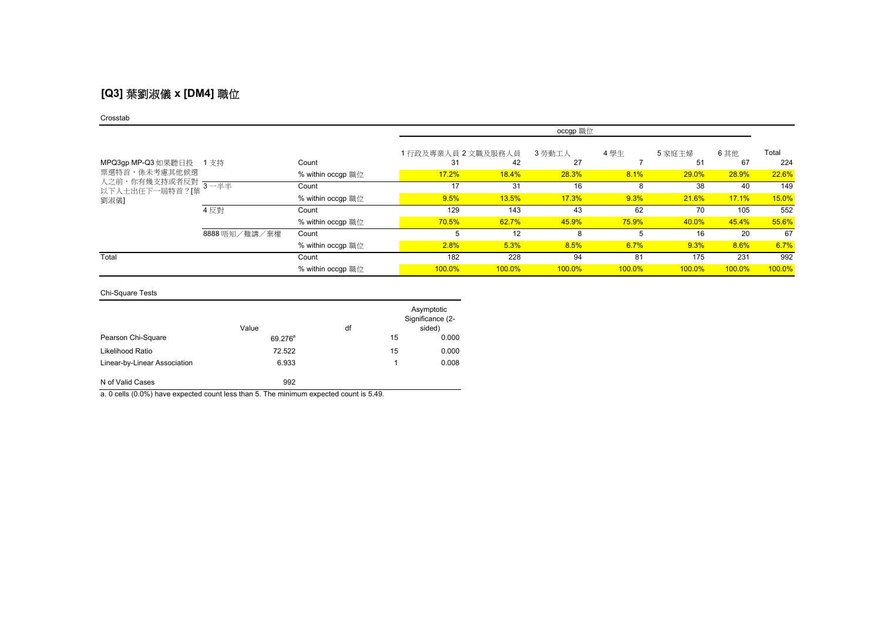# **[Q3]** 葉劉淑儀 **x [DM4]** 職位

#### Crosstab

|                                                          |               |                   | occgp 職位           |        |        |        |           |        |        |
|----------------------------------------------------------|---------------|-------------------|--------------------|--------|--------|--------|-----------|--------|--------|
|                                                          |               |                   | 1行政及專業人員 2 文職及服務人員 |        | 3 勞動工人 | 4 學生   | 5家庭主婦     | 6其他    | Total  |
| MPQ3gp MP-Q3 如果聽日投 1 支持                                  |               | Count             | 31                 | 42     | 27     |        | 51        | 67     | 224    |
| 票選特首,係未考慮其他候選<br>人之前,你有幾支持或者反對<br>以下人士出任下一屆特首?[葉<br>劉淑儀] |               | % within occgp 職位 | 17.2%              | 18.4%  | 28.3%  | 8.1%   | 29.0%     | 28.9%  | 22.6%  |
|                                                          | 3一半半          | Count             | 17                 | 31     | 16     | 8      | 38        | 40     | 149    |
|                                                          |               | % within occgp 職位 | 9.5%               | 13.5%  | 17.3%  | 9.3%   | 21.6%     | 17.1%  | 15.0%  |
|                                                          | 4 反對          | Count             | 129                | 143    | 43     | 62     | 70        | 105    | 552    |
|                                                          |               | % within occgp 職位 | 70.5%              | 62.7%  | 45.9%  | 75.9%  | 40.0%     | 45.4%  | 55.6%  |
|                                                          | 8888 唔知/難講/棄權 | Count             | 5                  | 12     | 8      | 5      | 16        | 20     | 67     |
|                                                          |               | % within occgp 職位 | 2.8%               | 5.3%   | 8.5%   | 6.7%   | 9.3%      | 8.6%   | 6.7%   |
| Total                                                    |               | Count             | 182                | 228    | 94     | 81     | 175       | 231    | 992    |
|                                                          |               | % within occgp 職位 | 100.0%             | 100.0% | 100.0% | 100.0% | $100.0\%$ | 100.0% | 100.0% |

### Chi-Square Tests

|                              | Value               | df |    | Asymptotic<br>Significance (2-<br>sided) |
|------------------------------|---------------------|----|----|------------------------------------------|
| Pearson Chi-Square           | 69.276 <sup>a</sup> |    | 15 | 0.000                                    |
| Likelihood Ratio             | 72.522              |    | 15 | 0.000                                    |
| Linear-by-Linear Association | 6.933               |    |    | 0.008                                    |
| N of Valid Cases             | 992                 |    |    |                                          |

a. 0 cells (0.0%) have expected count less than 5. The minimum expected count is 5.49.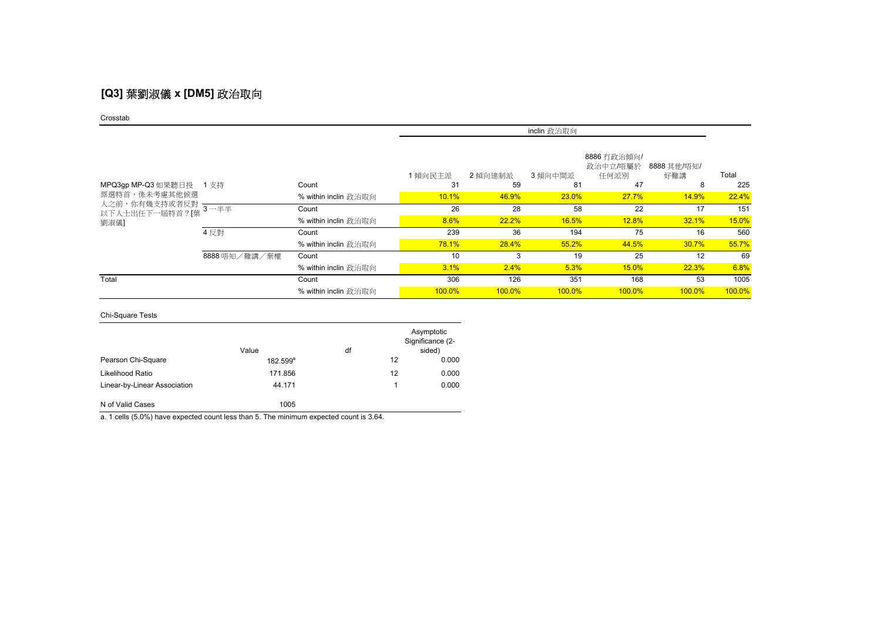# **[Q3]** 葉劉淑儀 **x [DM5]** 政治取向

#### Crosstab

|                                                                       |               |                      | inclin 政治取向 |           |               |                                 |                    |        |
|-----------------------------------------------------------------------|---------------|----------------------|-------------|-----------|---------------|---------------------------------|--------------------|--------|
|                                                                       |               |                      | 1傾向民主派      | 2傾向建制派    | 3 傾向中間派       | 8886 冇政治傾向/<br>政治中立/唔屬於<br>任何派別 | 8888 其他/唔知/<br>好難講 | Total  |
| MPQ3gp MP-Q3 如果聽日投                                                    | 1 支持          | Count                | 31          | 59        | 81            | 47                              | 8                  | 225    |
| 票選特首,係未考慮其他候選<br>人之前,你有幾支持或者反對 ————————————————————<br>以下人士出任下一屆特首?[葉 |               | % within inclin 政治取向 | 10.1%       | 46.9%     | 23.0%         | 27.7%                           | 14.9%              | 22.4%  |
|                                                                       |               | Count                | 26          | 28        | 58            | 22                              | 17                 | 151    |
| 劉淑儀]                                                                  |               | % within inclin 政治取向 | 8.6%        | 22.2%     | 16.5%         | 12.8%                           | 32.1%              | 15.0%  |
|                                                                       | 4 反對          | Count                | 239         | 36        | 194           | 75                              | 16                 | 560    |
|                                                                       |               | % within inclin 政治取向 | 78.1%       | 28.4%     | 55.2%         | 44.5%                           | 30.7%              | 55.7%  |
|                                                                       | 8888 唔知/難講/棄權 | Count                | 10          | 3         | 19            | 25                              | 12                 | 69     |
|                                                                       |               | % within inclin 政治取向 | 3.1%        | 2.4%      | 5.3%          | 15.0%                           | 22.3%              | 6.8%   |
| Total                                                                 |               | Count                | 306         | 126       | 351           | 168                             | 53                 | 1005   |
|                                                                       |               | % within inclin 政治取向 | 100.0%      | $100.0\%$ | <b>100.0%</b> | $100.0\%$                       | $100.0\%$          | 100.0% |

### Chi-Square Tests

|                              | Value             | df |    | Asymptotic<br>Significance (2-<br>sided) |
|------------------------------|-------------------|----|----|------------------------------------------|
| Pearson Chi-Square           | $182.599^{\circ}$ |    | 12 | 0.000                                    |
| Likelihood Ratio             | 171.856           |    | 12 | 0.000                                    |
| Linear-by-Linear Association | 44.171            |    | 1  | 0.000                                    |
| N of Valid Cases             | 1005              |    |    |                                          |

a. 1 cells (5.0%) have expected count less than 5. The minimum expected count is 3.64.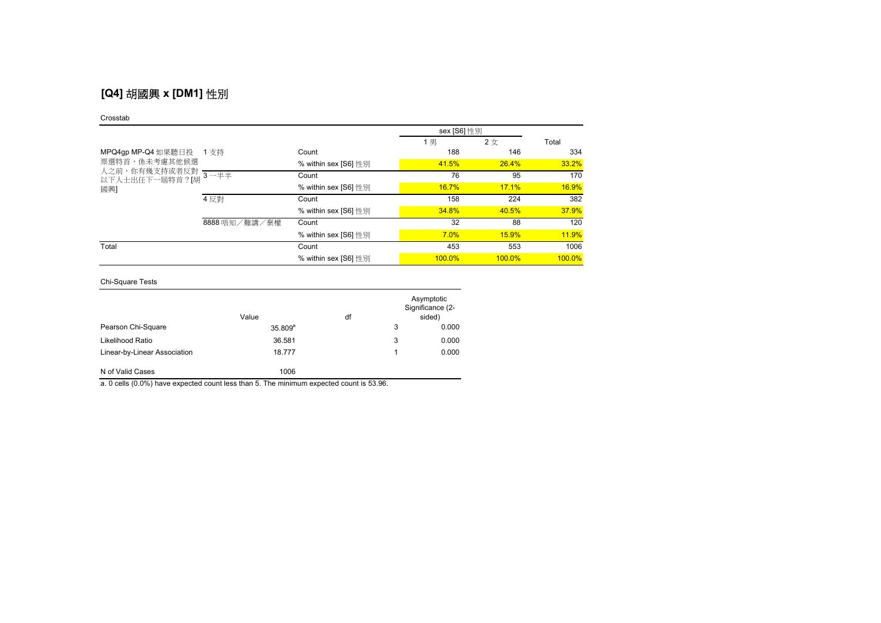# **[Q4]** 胡國興 **x [DM1]** 性別

#### Crosstab

|                                                                               |               |                      | sex [S6] 性別 |              |              |
|-------------------------------------------------------------------------------|---------------|----------------------|-------------|--------------|--------------|
|                                                                               |               |                      | 1男          | 2女           | Total        |
| MPQ4gp MP-Q4 如果聽日投<br>票選特首,係未考慮其他候選<br>人之前,你有幾支持或者反對<br>以下人士出任下一屆特首?[胡<br>國興] | 1 支持          | Count                | 188         | 146          | 334          |
|                                                                               |               | % within sex [S6] 性別 | 41.5%       | 26.4%        | 33.2%        |
|                                                                               | $3 - ##$      | Count                | 76          | 95           | 170          |
|                                                                               |               | % within sex [S6] 性別 | 16.7%       | 17.1%        | 16.9%        |
|                                                                               | 4 反對          | Count                | 158         | 224          | 382          |
|                                                                               |               | % within sex [S6] 性別 | 34.8%       | 40.5%        | 37.9%        |
|                                                                               | 8888 唔知/難講/棄權 | Count                | 32          | 88           | 120          |
|                                                                               |               | % within sex [S6] 性別 | 7.0%        | <b>15.9%</b> | <b>11.9%</b> |
| Total                                                                         |               | Count                | 453         | 553          | 1006         |
|                                                                               |               | % within sex [S6] 性別 | 100.0%      | $100.0\%$    | 100.0%       |

Chi-Square Tests

|                              | Value        | df |   | Asymptotic<br>Significance (2-<br>sided) |
|------------------------------|--------------|----|---|------------------------------------------|
| Pearson Chi-Square           | $35.809^{a}$ |    | 3 | 0.000                                    |
| Likelihood Ratio             | 36.581       |    | 3 | 0.000                                    |
| Linear-by-Linear Association | 18.777       |    |   | 0.000                                    |
| N of Valid Cases             | 1006         |    |   |                                          |

a. 0 cells (0.0%) have expected count less than 5. The minimum expected count is 53.96.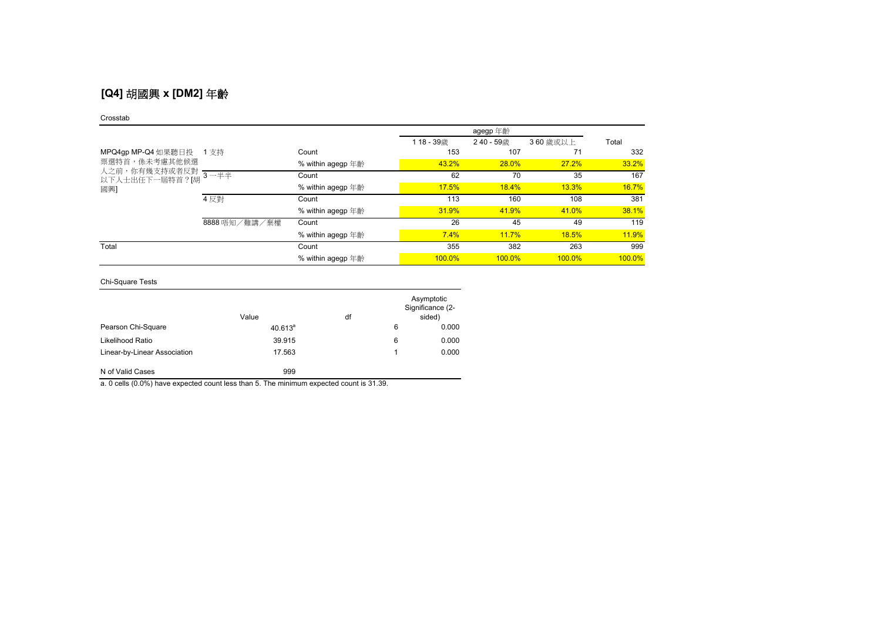# **[Q4]** 胡國興 **x [DM2]** 年齡

#### Crosstab

|                                                                               |               |                   | 118-39歳   | 240 - 59歳    | 360 歳或以上 | Total  |
|-------------------------------------------------------------------------------|---------------|-------------------|-----------|--------------|----------|--------|
| MPQ4gp MP-Q4 如果聽日投<br>票選特首,係未考慮其他候選<br>人之前,你有幾支持或者反對<br>以下人士出任下一屆特首?[胡<br>國興] | 1 支持          | Count             | 153       | 107          | 71       | 332    |
|                                                                               |               | % within agegp 年齡 | 43.2%     | <b>28.0%</b> | 27.2%    | 33.2%  |
|                                                                               | $3 - ##$      | Count             | 62        | 70           | 35       | 167    |
|                                                                               |               | % within agegp 年齡 | 17.5%     | 18.4%        | 13.3%    | 16.7%  |
|                                                                               | 4 反對          | Count             | 113       | 160          | 108      | 381    |
|                                                                               |               | % within agegp 年齡 | 31.9%     | 41.9%        | 41.0%    | 38.1%  |
|                                                                               | 8888 唔知/難講/棄權 | Count             | 26        | 45           | 49       | 119    |
|                                                                               |               | % within agegp 年齡 | 7.4%      | 11.7%        | 18.5%    | 11.9%  |
| Total                                                                         |               | Count             | 355       | 382          | 263      | 999    |
|                                                                               |               | % within agegp 年齡 | $100.0\%$ | $100.0\%$    | 100.0%   | 100.0% |

### Chi-Square Tests

|                              | Value      | df |   | Asymptotic<br>Significance (2-<br>sided) |
|------------------------------|------------|----|---|------------------------------------------|
| Pearson Chi-Square           | $40.613^a$ |    | 6 | 0.000                                    |
| Likelihood Ratio             | 39.915     |    | 6 | 0.000                                    |
| Linear-by-Linear Association | 17.563     |    |   | 0.000                                    |
| N of Valid Cases             | 999        |    |   |                                          |

a. 0 cells (0.0%) have expected count less than 5. The minimum expected count is 31.39.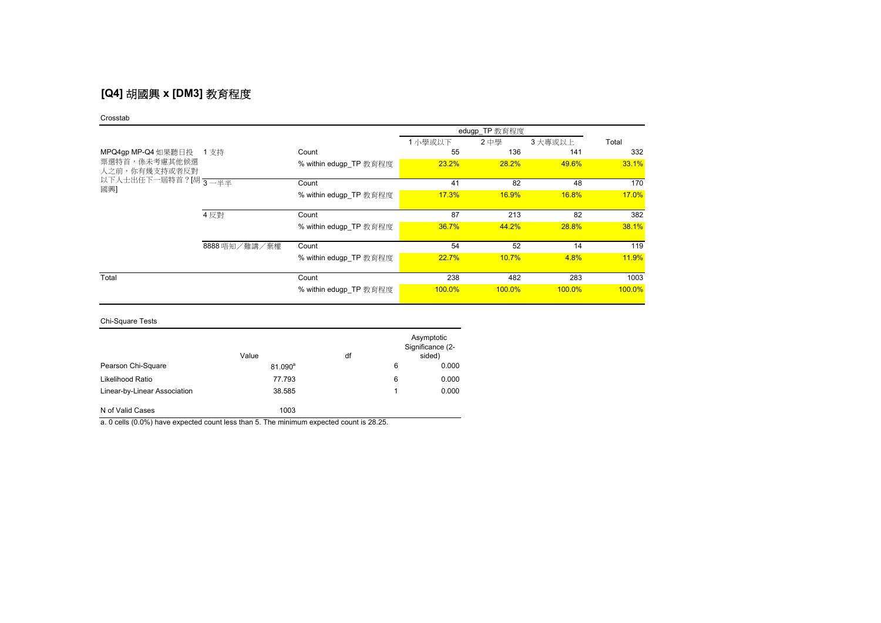# **[Q4]** 胡國興 **x [DM3]** 教育程度

#### Crosstab

|                                |               |                        |           | edugp_TP 教育程度 |           |        |
|--------------------------------|---------------|------------------------|-----------|---------------|-----------|--------|
|                                |               |                        | 1 小學或以下   | 2中學           | 3 大專或以上   | Total  |
| MPQ4gp MP-Q4 如果聽日投 1 支持        |               | Count                  | 55        | 136           | 141       | 332    |
| 票選特首,係未考慮其他候選<br>人之前,你有幾支持或者反對 |               | % within edugp_TP 教育程度 | 23.2%     | 28.2%         | 49.6%     | 33.1%  |
| 以下人士出任下一屆特首?[胡 3—半半            |               | Count                  | 41        | 82            | 48        | 170    |
| 國興]                            |               | % within edugp TP 教育程度 | 17.3%     | <b>16.9%</b>  | 16.8%     | 17.0%  |
|                                | 4 反對          | Count                  | 87        | 213           | 82        | 382    |
|                                |               | % within edugp TP 教育程度 | 36.7%     | 44.2%         | 28.8%     | 38.1%  |
|                                | 8888 唔知/難講/棄權 | Count                  | 54        | 52            | 14        | 119    |
|                                |               | % within edugp TP 教育程度 | 22.7%     | 10.7%         | 4.8%      | 11.9%  |
| Total                          |               | Count                  | 238       | 482           | 283       | 1003   |
|                                |               | % within edugp TP 教育程度 | $100.0\%$ | 100.0%        | $100.0\%$ | 100.0% |

### Chi-Square Tests

|                              | Value      | df |   | Asymptotic<br>Significance (2-<br>sided) |
|------------------------------|------------|----|---|------------------------------------------|
| Pearson Chi-Square           | $81.090^a$ |    | 6 | 0.000                                    |
| Likelihood Ratio             | 77.793     |    | 6 | 0.000                                    |
| Linear-by-Linear Association | 38.585     |    | 1 | 0.000                                    |
| N of Valid Cases             | 1003       |    |   |                                          |

a. 0 cells (0.0%) have expected count less than 5. The minimum expected count is 28.25.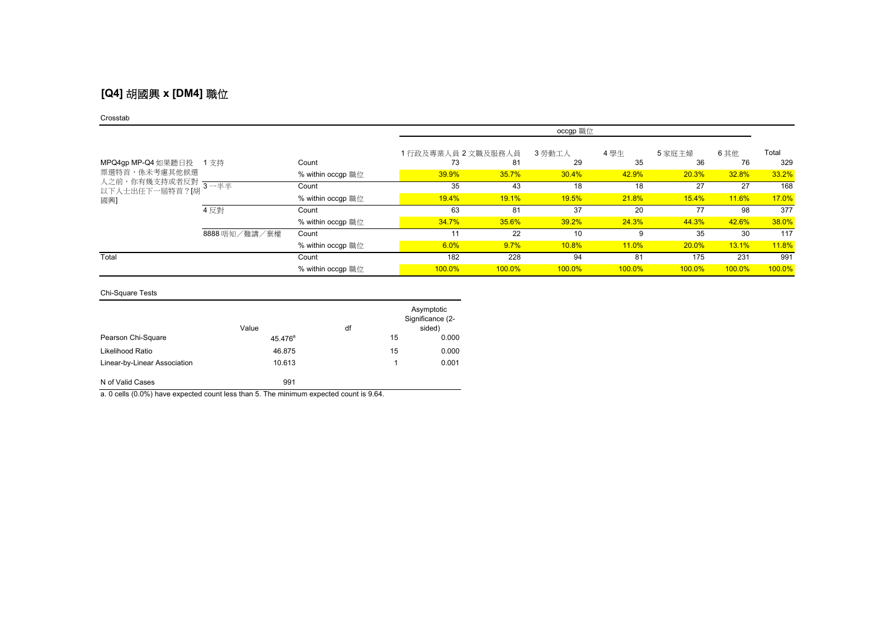## **[Q4]** 胡國興 **x [DM4]** 職位

#### Crosstab

|                                        |               |                   | occgp 職位           |        |              |        |           |              |        |
|----------------------------------------|---------------|-------------------|--------------------|--------|--------------|--------|-----------|--------------|--------|
|                                        |               |                   | 1行政及專業人員 2 文職及服務人員 |        | 3 勞動工人       | 4學生    | 5家庭主婦     | 6其他          | Total  |
| MPQ4gp MP-Q4 如果聽日投 1 支持                |               | Count             | 73                 | 81     | 29           | 35     | 36        | 76           | 329    |
| 票選特首,係未考慮其他候選                          |               | % within occgp 職位 | 39.9%              | 35.7%  | 30.4%        | 42.9%  | 20.3%     | 32.8%        | 33.2%  |
| 人之前,你有幾支持或者反對<br>以下人士出任下一屆特首?[胡<br>國興] | $3 - 44$      | Count             | 35                 | 43     | 18           | 18     | 27        | 27           | 168    |
|                                        |               | % within occgp 職位 | 19.4%              | 19.1%  | <b>19.5%</b> | 21.8%  | 15.4%     | <b>11.6%</b> | 17.0%  |
|                                        | 4 反對          | Count             | 63                 | 81     | 37           | 20     | 77        | 98           | 377    |
|                                        |               | % within occgp 職位 | 34.7%              | 35.6%  | 39.2%        | 24.3%  | 44.3%     | 42.6%        | 38.0%  |
|                                        | 8888 唔知/難講/棄權 | Count             | 11                 | 22     | 10           | 9      | 35        | 30           | 117    |
|                                        |               | % within occgp 職位 | 6.0%               | 9.7%   | 10.8%        | 11.0%  | 20.0%     | 13.1%        | 11.8%  |
| Total                                  |               | Count             | 182                | 228    | 94           | 81     | 175       | 231          | 991    |
|                                        |               | % within occgp 職位 | 100.0%             | 100.0% | 100.0%       | 100.0% | $100.0\%$ | 100.0%       | 100.0% |

### Chi-Square Tests

|                              | Value               | df |    | Asymptotic<br>Significance (2-<br>sided) |
|------------------------------|---------------------|----|----|------------------------------------------|
| Pearson Chi-Square           | 45.476 <sup>a</sup> |    | 15 | 0.000                                    |
| Likelihood Ratio             | 46.875              |    | 15 | 0.000                                    |
| Linear-by-Linear Association | 10.613              |    |    | 0.001                                    |
| N of Valid Cases             | 991                 |    |    |                                          |

a. 0 cells (0.0%) have expected count less than 5. The minimum expected count is 9.64.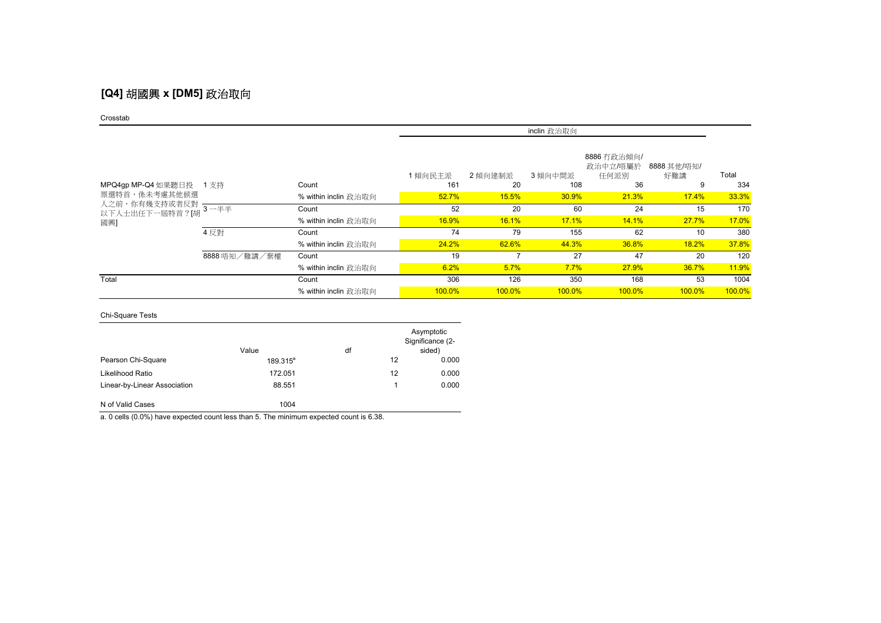## **[Q4]** 胡國興 **x [DM5]** 政治取向

#### Crosstab

|                                                                              |               |                      | inclin 政治取向 |           |               |                                 |                    |        |  |
|------------------------------------------------------------------------------|---------------|----------------------|-------------|-----------|---------------|---------------------------------|--------------------|--------|--|
|                                                                              |               |                      | 1傾向民主派      | 2 傾向建制派   | 3 傾向中間派       | 8886 冇政治傾向/<br>政治中立/唔屬於<br>任何派別 | 8888 其他/唔知/<br>好難講 | Total  |  |
| MPQ4gp MP-Q4 如果聽日投 1 支持<br>票選特首,係未考慮其他候選<br>人之前,你有幾支持或者反對一<br>以下人士出任下一屆特首?[胡 |               | Count                | 161         | 20        | 108           | 36                              | 9                  | 334    |  |
|                                                                              |               | % within inclin 政治取向 | 52.7%       | 15.5%     | 30.9%         | <b>21.3%</b>                    | 17.4%              | 33.3%  |  |
|                                                                              | $-$ 3 – $#$   | Count                | 52          | 20        | 60            | 24                              | 15                 | 170    |  |
| 國興]                                                                          |               | % within inclin 政治取向 | 16.9%       | 16.1%     | 17.1%         | 14.1%                           | 27.7%              | 17.0%  |  |
|                                                                              | 4 反對          | Count                | 74          | 79        | 155           | 62                              | 10                 | 380    |  |
|                                                                              |               | % within inclin 政治取向 | 24.2%       | 62.6%     | 44.3%         | 36.8%                           | 18.2%              | 37.8%  |  |
|                                                                              | 8888 唔知/難講/棄權 | Count                | 19          |           | 27            | 47                              | 20                 | 120    |  |
|                                                                              |               | % within inclin 政治取向 | 6.2%        | 5.7%      | 7.7%          | <b>27.9%</b>                    | 36.7%              | 11.9%  |  |
| Total                                                                        |               | Count                | 306         | 126       | 350           | 168                             | 53                 | 1004   |  |
|                                                                              |               | % within inclin 政治取向 | $100.0\%$   | $100.0\%$ | <b>100.0%</b> | $100.0\%$                       | $100.0\%$          | 100.0% |  |

### Chi-Square Tests

|                              | Value       | df |    | Asymptotic<br>Significance (2-<br>sided) |
|------------------------------|-------------|----|----|------------------------------------------|
| Pearson Chi-Square           | $189.315^a$ |    | 12 | 0.000                                    |
| Likelihood Ratio             | 172.051     |    | 12 | 0.000                                    |
| Linear-by-Linear Association | 88.551      |    |    | 0.000                                    |
| N of Valid Cases             | 1004        |    |    |                                          |

a. 0 cells (0.0%) have expected count less than 5. The minimum expected count is 6.38.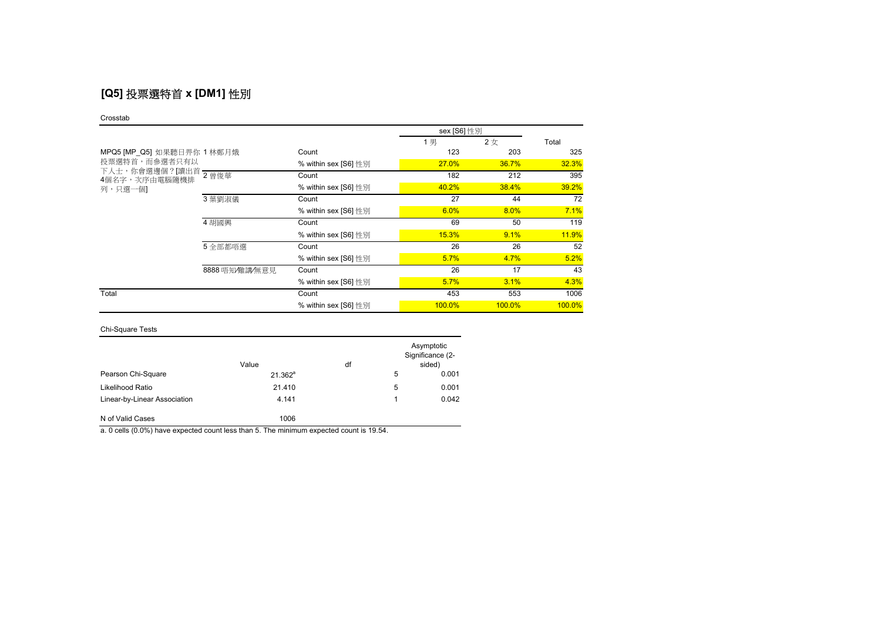# **[Q5]** 投票選特首 **x [DM1]** 性別

#### Crosstab

|                                                         |                |                      | sex [S6] 性別  |           |              |
|---------------------------------------------------------|----------------|----------------------|--------------|-----------|--------------|
|                                                         |                |                      | 1男           | 2女        | Total        |
| MPQ5 [MP_Q5] 如果聽日畀你 1 林鄭月娥                              |                | Count                | 123          | 203       | 325          |
| 投票選特首,而參選者只有以                                           |                | % within sex [S6] 性別 | <b>27.0%</b> | 36.7%     | 32.3%        |
| 下人士,你會選邊個?[讀出首<br>下人士,你會選邊個?[讀出首 2 曾俊華<br>4個名字,次序由電腦隨機排 |                | Count                | 182          | 212       | 395          |
| 列,只選一個1                                                 |                | % within sex [S6] 性別 | 40.2%        | 38.4%     | 39.2%        |
|                                                         | 3 葉劉淑儀         | Count                | 27           | 44        | 72           |
|                                                         |                | % within sex [S6] 性別 | 6.0%         | 8.0%      | 7.1%         |
|                                                         | 4 胡國興          | Count                | 69           | 50        | 119          |
|                                                         |                | % within sex [S6] 性別 | 15.3%        | 9.1%      | <b>11.9%</b> |
|                                                         | 5 全部都唔選        | Count                | 26           | 26        | 52           |
|                                                         |                | % within sex [S6] 性別 | 5.7%         | 4.7%      | 5.2%         |
|                                                         | 8888 唔知/難講/無意見 | Count                | 26           | 17        | 43           |
|                                                         |                | % within sex [S6] 性別 | 5.7%         | 3.1%      | 4.3%         |
| Total                                                   |                | Count                | 453          | 553       | 1006         |
|                                                         |                | % within sex [S6] 性別 | 100.0%       | $100.0\%$ | 100.0%       |

### Chi-Square Tests

|                              | Value        | df |   | Asymptotic<br>Significance (2-<br>sided) |
|------------------------------|--------------|----|---|------------------------------------------|
| Pearson Chi-Square           | $21.362^{a}$ |    | 5 | 0.001                                    |
| Likelihood Ratio             | 21.410       |    | 5 | 0.001                                    |
| Linear-by-Linear Association | 4.141        |    | 1 | 0.042                                    |
| N of Valid Cases             | 1006         |    |   |                                          |

a. 0 cells (0.0%) have expected count less than 5. The minimum expected count is 19.54.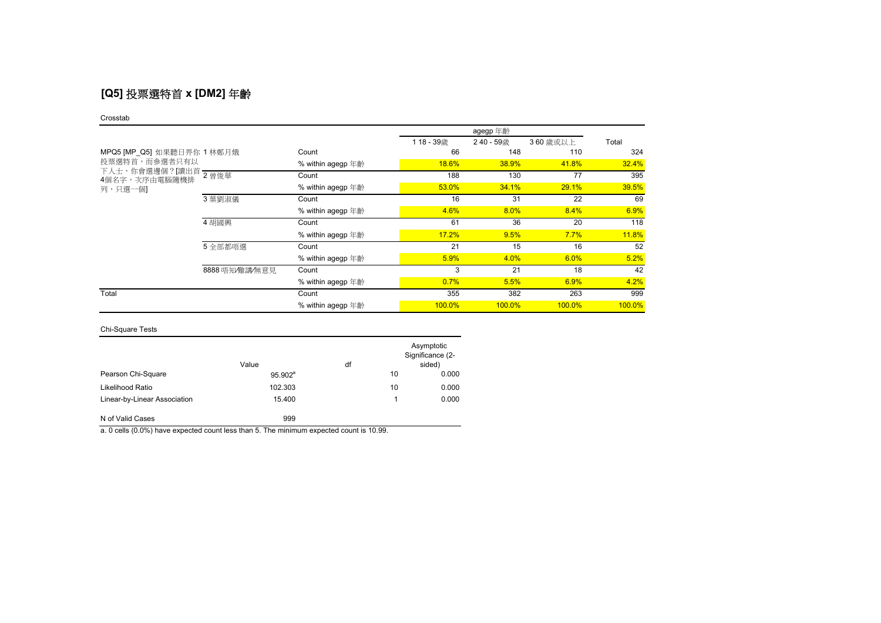# **[Q5]** 投票選特首 **x [DM2]** 年齡

#### Crosstab

|                                           |                |                   | 118-39歳      | 240 - 59歳 | 360 歳或以上  | Total  |
|-------------------------------------------|----------------|-------------------|--------------|-----------|-----------|--------|
| MPQ5 [MP Q5] 如果聽日畀你 1 林鄭月娥                |                | Count             | 66           | 148       | 110       | 324    |
| 投票選特首,而參選者只有以<br>4個名字,次序由電腦隨機排<br>列,只選一個1 |                | % within agegp 年齡 | <b>18.6%</b> | 38.9%     | 41.8%     | 32.4%  |
|                                           |                | Count             | 188          | 130       | 77        | 395    |
|                                           |                | % within agegp 年齡 | 53.0%        | 34.1%     | 29.1%     | 39.5%  |
|                                           | 3 葉劉淑儀         | Count             | 16           | 31        | 22        | 69     |
|                                           |                | % within agegp 年齡 | 4.6%         | 8.0%      | 8.4%      | 6.9%   |
|                                           | 4 胡國興          | Count             | 61           | 36        | 20        | 118    |
|                                           |                | % within agegp 年齡 | 17.2%        | 9.5%      | 7.7%      | 11.8%  |
|                                           | 5 全部都唔選        | Count             | 21           | 15        | 16        | 52     |
|                                           |                | % within agegp 年齡 | 5.9%         | 4.0%      | 6.0%      | 5.2%   |
|                                           | 8888 唔知/難講/無意見 | Count             | 3            | 21        | 18        | 42     |
|                                           |                | % within agegp 年齡 | 0.7%         | 5.5%      | 6.9%      | 4.2%   |
| Total                                     |                | Count             | 355          | 382       | 263       | 999    |
|                                           |                | % within agegp 年齡 | $100.0\%$    | 100.0%    | $100.0\%$ | 100.0% |

### Chi-Square Tests

|                              | Value      | df |    | Asymptotic<br>Significance (2-<br>sided) |
|------------------------------|------------|----|----|------------------------------------------|
| Pearson Chi-Square           | $95.902^a$ |    | 10 | 0.000                                    |
| Likelihood Ratio             | 102.303    |    | 10 | 0.000                                    |
| Linear-by-Linear Association | 15.400     |    |    | 0.000                                    |
| N of Valid Cases             | 999        |    |    |                                          |

a. 0 cells (0.0%) have expected count less than 5. The minimum expected count is 10.99.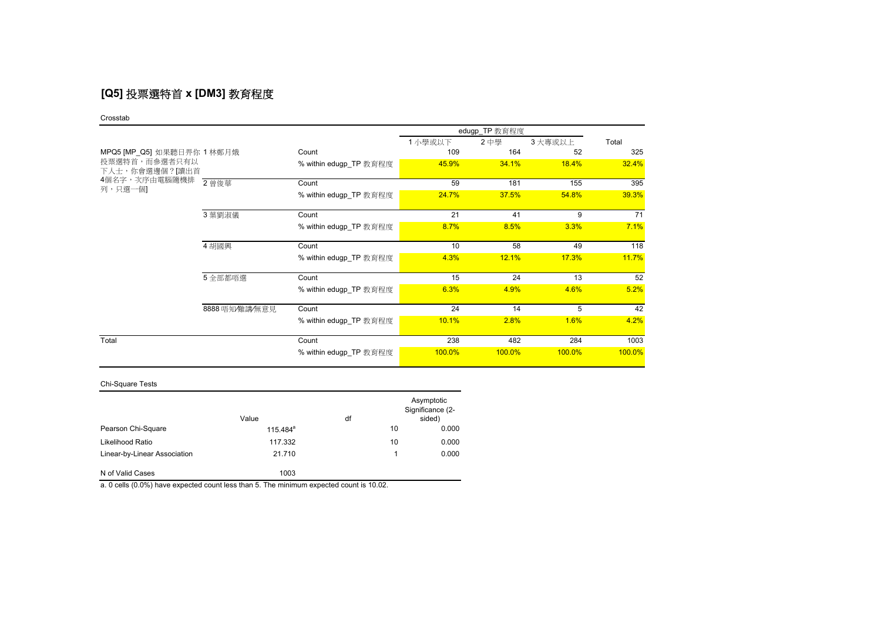# **[Q5]** 投票選特首 **x [DM3]** 教育程度

#### Crosstab

|                                 |                | edugp_TP 教育程度          |        |        |         |        |  |  |
|---------------------------------|----------------|------------------------|--------|--------|---------|--------|--|--|
|                                 |                |                        | 1小學或以下 | 2中學    | 3 大專或以上 | Total  |  |  |
| MPQ5 [MP_Q5] 如果聽日畀你 1 林鄭月娥      |                | Count                  | 109    | 164    | 52      | 325    |  |  |
| 投票選特首,而參選者只有以<br>下人士,你會選邊個?[讀出首 |                | % within edugp_TP 教育程度 | 45.9%  | 34.1%  | 18.4%   | 32.4%  |  |  |
| 4個名字,次序由電腦隨機排<br>列,只選一個]        | 2 曾俊華          | Count                  | 59     | 181    | 155     | 395    |  |  |
|                                 |                | % within edugp TP 教育程度 | 24.7%  | 37.5%  | 54.8%   | 39.3%  |  |  |
|                                 | 3 葉劉淑儀         | Count                  | 21     | 41     | 9       | 71     |  |  |
|                                 |                | % within edugp TP 教育程度 | 8.7%   | 8.5%   | 3.3%    | 7.1%   |  |  |
|                                 | 4 胡國興          | Count                  | 10     | 58     | 49      | 118    |  |  |
|                                 |                | % within edugp TP 教育程度 | 4.3%   | 12.1%  | 17.3%   | 11.7%  |  |  |
|                                 | 5 全部都唔選        | Count                  | 15     | 24     | 13      | 52     |  |  |
|                                 |                | % within edugp_TP 教育程度 | 6.3%   | 4.9%   | 4.6%    | 5.2%   |  |  |
|                                 | 8888 唔知/難講/無意見 | Count                  | 24     | 14     | 5       | 42     |  |  |
|                                 |                | % within edugp TP 教育程度 | 10.1%  | 2.8%   | 1.6%    | 4.2%   |  |  |
| Total                           |                | Count                  | 238    | 482    | 284     | 1003   |  |  |
|                                 |                | % within edugp_TP 教育程度 | 100.0% | 100.0% | 100.0%  | 100.0% |  |  |

### Chi-Square Tests

|                              | Value       | df |    | Asymptotic<br>Significance (2-<br>sided) |
|------------------------------|-------------|----|----|------------------------------------------|
| Pearson Chi-Square           | $115.484^a$ |    | 10 | 0.000                                    |
| Likelihood Ratio             | 117.332     |    | 10 | 0.000                                    |
| Linear-by-Linear Association | 21.710      |    |    | 0.000                                    |
| N of Valid Cases             | 1003        |    |    |                                          |

a. 0 cells (0.0%) have expected count less than 5. The minimum expected count is 10.02.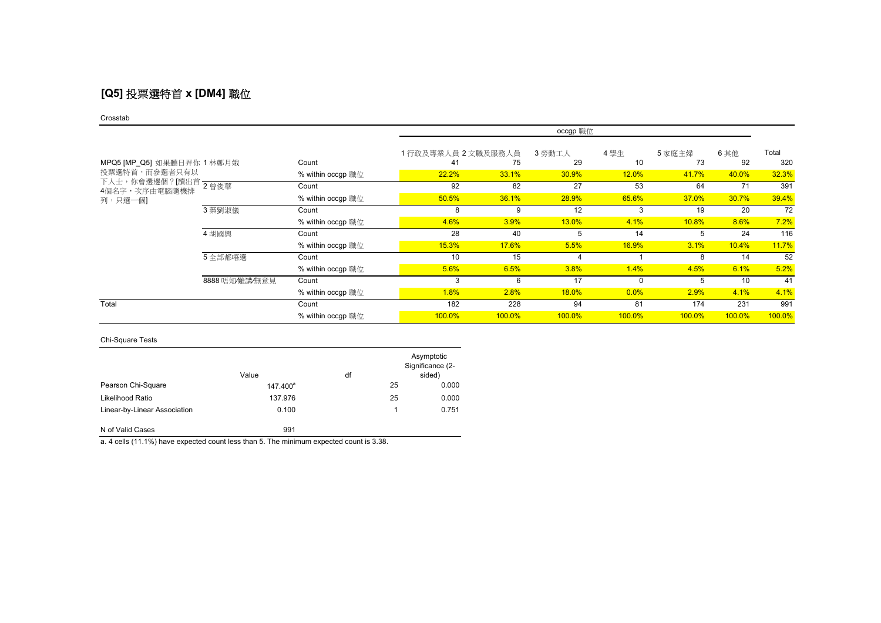# **[Q5]** 投票選特首 **x [DM4]** 職位

#### Crosstab

|                            |                |                   | occgp 職位           |           |        |          |        |        |        |
|----------------------------|----------------|-------------------|--------------------|-----------|--------|----------|--------|--------|--------|
|                            |                |                   | 1行政及專業人員 2 文職及服務人員 |           | 3 勞動工人 | 4 學生     | 5 家庭主婦 | 6其他    | Total  |
| MPQ5 [MP_Q5] 如果聽日畀你 1 林鄭月娥 |                | Count             | 41                 | 75        | 29     | 10       | 73     | 92     | 320    |
| 投票選特首,而參選者只有以              |                | % within occgp 職位 | 22.2%              | 33.1%     | 30.9%  | 12.0%    | 41.7%  | 40.0%  | 32.3%  |
| 4個名字,次序由電腦隨機排              |                | Count             | 92                 | 82        | 27     | 53       | 64     | 71     | 391    |
| 列,只選一個]                    |                | % within occgp 職位 | 50.5%              | 36.1%     | 28.9%  | 65.6%    | 37.0%  | 30.7%  | 39.4%  |
|                            | 3 葉劉淑儀         | Count             | 8                  | 9         | 12     |          | 19     | 20     | 72     |
|                            |                | % within occgp 職位 | 4.6%               | 3.9%      | 13.0%  | 4.1%     | 10.8%  | 8.6%   | 7.2%   |
|                            | 4 胡國興          | Count             | 28                 | 40        | 5      | 14       | 5      | 24     | 116    |
|                            |                | % within occgp 職位 | 15.3%              | 17.6%     | 5.5%   | 16.9%    | 3.1%   | 10.4%  | 11.7%  |
|                            | 5 全部都唔選        | Count             | 10                 | 15        | 4      |          | 8      | 14     | 52     |
|                            |                | % within occgp 職位 | 5.6%               | 6.5%      | 3.8%   | 1.4%     | 4.5%   | 6.1%   | 5.2%   |
|                            | 8888 唔知/難講/無意見 | Count             | 3                  | 6         | 17     | $\Omega$ | 5      | 10     | 41     |
|                            |                | % within occgp 職位 | 1.8%               | 2.8%      | 18.0%  | 0.0%     | 2.9%   | 4.1%   | 4.1%   |
| Total                      |                | Count             | 182                | 228       | 94     | 81       | 174    | 231    | 991    |
|                            |                | % within occgp 職位 | 100.0%             | $100.0\%$ | 100.0% | 100.0%   | 100.0% | 100.0% | 100.0% |

### Chi-Square Tests

|                              | Value                | df |    | Asymptotic<br>Significance (2-<br>sided) |
|------------------------------|----------------------|----|----|------------------------------------------|
| Pearson Chi-Square           | 147.400 <sup>a</sup> |    | 25 | 0.000                                    |
| Likelihood Ratio             | 137.976              |    | 25 | 0.000                                    |
| Linear-by-Linear Association | 0.100                |    | 1  | 0.751                                    |
| N of Valid Cases             | 991                  |    |    |                                          |

a. 4 cells (11.1%) have expected count less than 5. The minimum expected count is 3.38.